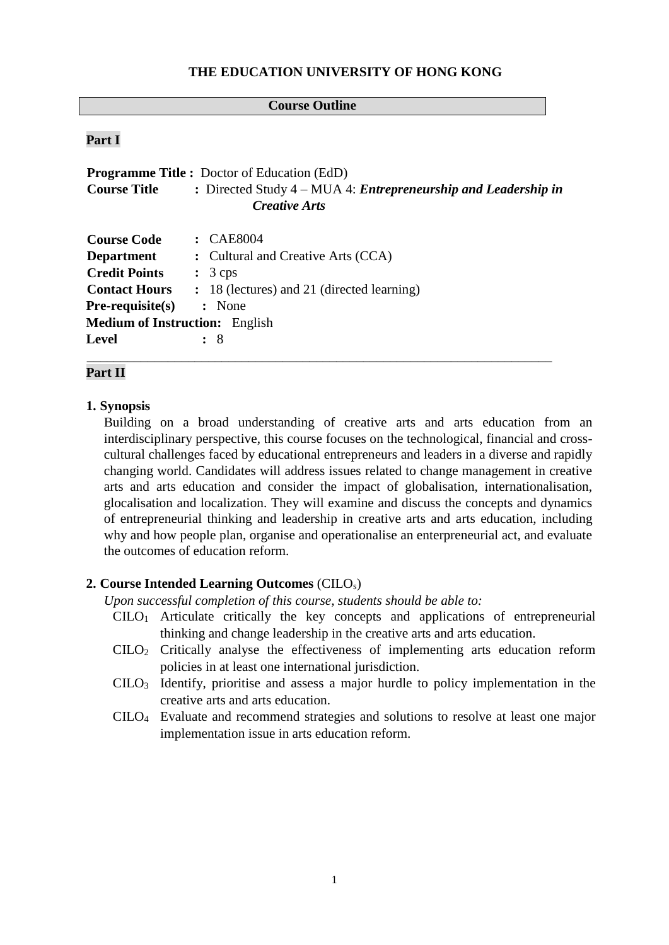#### **THE EDUCATION UNIVERSITY OF HONG KONG**

#### **Course Outline**

#### **Part I**

| <b>Programme Title :</b> Doctor of Education (EdD) |                                                                         |  |  |  |
|----------------------------------------------------|-------------------------------------------------------------------------|--|--|--|
| <b>Course Title</b>                                | : Directed Study $4 - MUA$ 4: <i>Entrepreneurship and Leadership in</i> |  |  |  |
| <i>Creative Arts</i>                               |                                                                         |  |  |  |
| <b>Course Code</b>                                 | $\therefore$ CAE8004                                                    |  |  |  |
| <b>Department</b>                                  | : Cultural and Creative Arts (CCA)                                      |  |  |  |
| <b>Credit Points</b>                               | $\therefore$ 3 cps                                                      |  |  |  |
| <b>Contact Hours</b>                               | : 18 (lectures) and 21 (directed learning)                              |  |  |  |
| $Pre-requisite(s)$                                 | : None                                                                  |  |  |  |
| <b>Medium of Instruction:</b> English              |                                                                         |  |  |  |
| <b>Level</b>                                       | : 8                                                                     |  |  |  |
|                                                    |                                                                         |  |  |  |

### **Part II**

#### **1. Synopsis**

Building on a broad understanding of creative arts and arts education from an interdisciplinary perspective, this course focuses on the technological, financial and crosscultural challenges faced by educational entrepreneurs and leaders in a diverse and rapidly changing world. Candidates will address issues related to change management in creative arts and arts education and consider the impact of globalisation, internationalisation, glocalisation and localization. They will examine and discuss the concepts and dynamics of entrepreneurial thinking and leadership in creative arts and arts education, including why and how people plan, organise and operationalise an enterpreneurial act, and evaluate the outcomes of education reform.

### **2. Course Intended Learning Outcomes** (CILOs)

*Upon successful completion of this course, students should be able to:* 

- CILO1 Articulate critically the key concepts and applications of entrepreneurial thinking and change leadership in the creative arts and arts education.
- CILO2 Critically analyse the effectiveness of implementing arts education reform policies in at least one international jurisdiction.
- $C I L O<sub>3</sub>$  Identify, prioritise and assess a major hurdle to policy implementation in the creative arts and arts education.
- CILO4 Evaluate and recommend strategies and solutions to resolve at least one major implementation issue in arts education reform.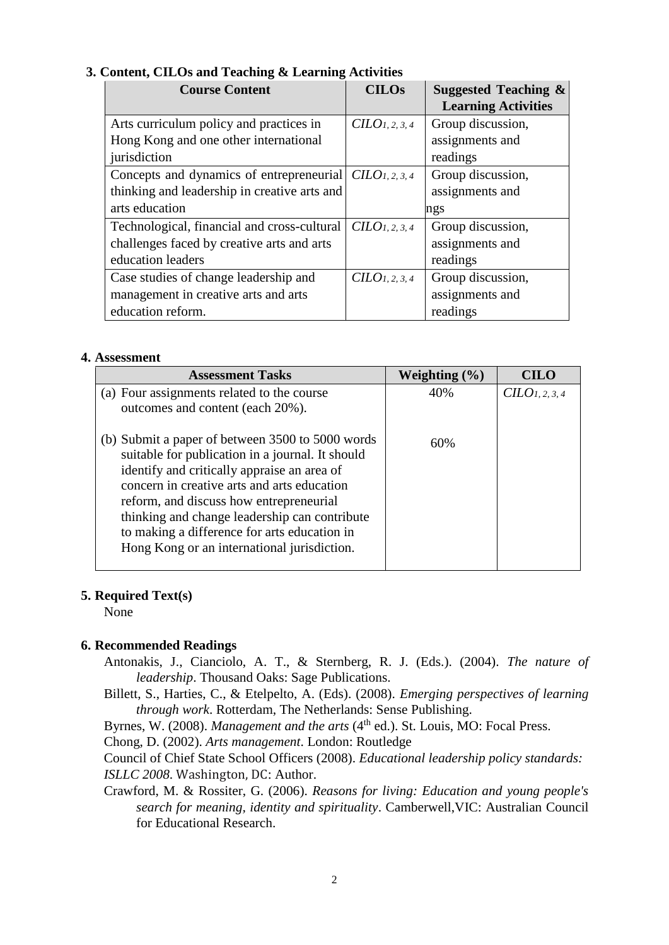| <b>Course Content</b>                        | <b>CILOs</b>               | Suggested Teaching $\&$    |  |
|----------------------------------------------|----------------------------|----------------------------|--|
|                                              |                            | <b>Learning Activities</b> |  |
| Arts curriculum policy and practices in      | CILO <sub>1, 2, 3, 4</sub> | Group discussion,          |  |
| Hong Kong and one other international        |                            | assignments and            |  |
| jurisdiction                                 |                            | readings                   |  |
| Concepts and dynamics of entrepreneurial     | CILO <sub>1, 2, 3, 4</sub> | Group discussion,          |  |
| thinking and leadership in creative arts and |                            | assignments and            |  |
| arts education                               |                            | ngs                        |  |
| Technological, financial and cross-cultural  | CILO <sub>1, 2, 3, 4</sub> | Group discussion,          |  |
| challenges faced by creative arts and arts   |                            | assignments and            |  |
| education leaders                            |                            | readings                   |  |
| Case studies of change leadership and        | CILO <sub>1, 2, 3, 4</sub> | Group discussion,          |  |
| management in creative arts and arts         |                            | assignments and            |  |
| education reform.                            |                            | readings                   |  |

## **3. Content, CILOs and Teaching & Learning Activities**

#### **4. Assessment**

| <b>Assessment Tasks</b>                                                                                                                                                                                                                                                                                                                                                                       | Weighting $(\% )$ | <b>CILO</b>                |
|-----------------------------------------------------------------------------------------------------------------------------------------------------------------------------------------------------------------------------------------------------------------------------------------------------------------------------------------------------------------------------------------------|-------------------|----------------------------|
| (a) Four assignments related to the course<br>outcomes and content (each 20%).                                                                                                                                                                                                                                                                                                                | 40%               | CILO <sub>1, 2, 3, 4</sub> |
| (b) Submit a paper of between 3500 to 5000 words<br>suitable for publication in a journal. It should<br>identify and critically appraise an area of<br>concern in creative arts and arts education<br>reform, and discuss how entrepreneurial<br>thinking and change leadership can contribute<br>to making a difference for arts education in<br>Hong Kong or an international jurisdiction. | 60%               |                            |

## **5. Required Text(s)**

None

## **6. Recommended Readings**

- Antonakis, J., Cianciolo, A. T., & Sternberg, R. J. (Eds.). (2004). *The nature of leadership*. Thousand Oaks: Sage Publications.
- Billett, S., Harties, C., & Etelpelto, A. (Eds). (2008). *Emerging perspectives of learning through work*. Rotterdam, The Netherlands: Sense Publishing.

Byrnes, W. (2008). *Management and the arts* (4<sup>th</sup> ed.). St. Louis, MO: Focal Press.

Chong, D. (2002). *Arts management*. London: Routledge

Council of Chief State School Officers (2008). *Educational leadership policy standards: ISLLC 2008*. Washington, DC: Author.

Crawford, M. & Rossiter, G. (2006). *Reasons for living: Education and young people's search for meaning, identity and spirituality*. Camberwell,VIC: Australian Council for Educational Research.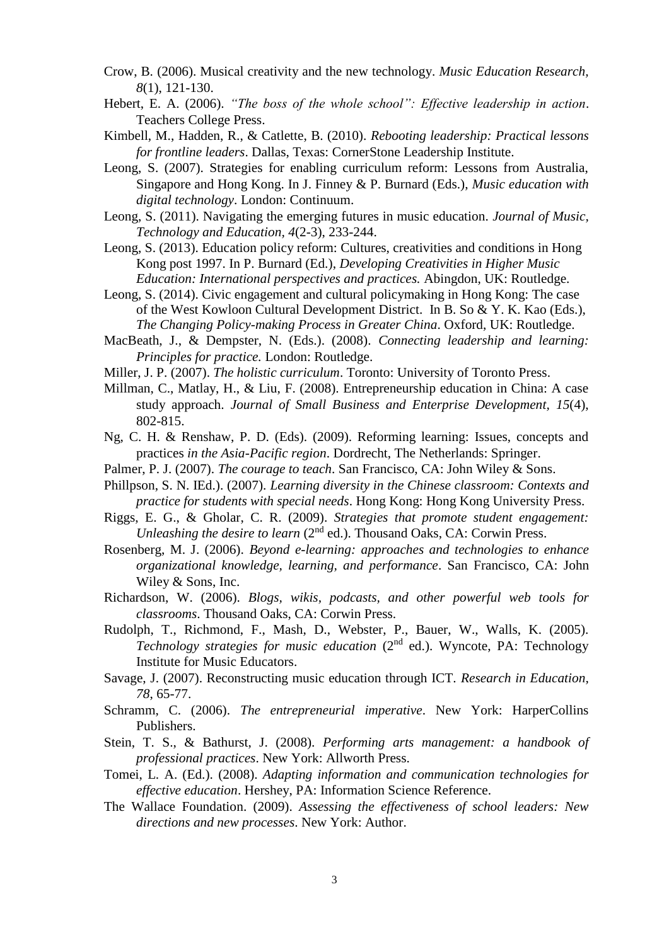- Crow, B. (2006). Musical creativity and the new technology. *Music Education Research, 8*(1), 121-130.
- Hebert, E. A. (2006). *"The boss of the whole school": Effective leadership in action*. Teachers College Press.
- Kimbell, M., Hadden, R., & Catlette, B. (2010). *Rebooting leadership: Practical lessons for frontline leaders*. Dallas, Texas: CornerStone Leadership Institute.
- Leong, S. (2007). Strategies for enabling curriculum reform: Lessons from Australia, Singapore and Hong Kong. In J. Finney & P. Burnard (Eds.), *Music education with digital technology*. London: Continuum.
- Leong, S. (2011). Navigating the emerging futures in music education. *Journal of Music, Technology and Education, 4*(2-3), 233-244.
- Leong, S. (2013). Education policy reform: Cultures, creativities and conditions in Hong Kong post 1997. In P. Burnard (Ed.), *Developing Creativities in Higher Music Education: International perspectives and practices.* Abingdon, UK: Routledge.
- Leong, S. (2014). Civic engagement and cultural policymaking in Hong Kong: The case of the West Kowloon Cultural Development District. In B. So & Y. K. Kao (Eds.), *The Changing Policy-making Process in Greater China*. Oxford, UK: Routledge.
- MacBeath, J., & Dempster, N. (Eds.). (2008). *Connecting leadership and learning: Principles for practice.* London: Routledge.
- Miller, J. P. (2007). *The holistic curriculum*. Toronto: University of Toronto Press.
- Millman, C., Matlay, H., & Liu, F. (2008). Entrepreneurship education in China: A case study approach. *Journal of Small Business and Enterprise Development, 15*(4), 802-815.
- Ng, C. H. & Renshaw, P. D. (Eds). (2009). Reforming learning: Issues, concepts and practices *in the Asia-Pacific region*. Dordrecht, The Netherlands: Springer.
- Palmer, P. J. (2007). *The courage to teach*. San Francisco, CA: John Wiley & Sons.
- Phillpson, S. N. IEd.). (2007). *Learning diversity in the Chinese classroom: Contexts and practice for students with special needs*. Hong Kong: Hong Kong University Press.
- Riggs, E. G., & Gholar, C. R. (2009). *Strategies that promote student engagement: Unleashing the desire to learn* (2<sup>nd</sup> ed.). Thousand Oaks, CA: Corwin Press.
- Rosenberg, M. J. (2006). *Beyond e-learning: approaches and technologies to enhance organizational knowledge, learning, and performance*. San Francisco, CA: John Wiley & Sons, Inc.
- Richardson, W. (2006). *Blogs, wikis, podcasts, and other powerful web tools for classrooms*. Thousand Oaks, CA: Corwin Press.
- Rudolph, T., Richmond, F., Mash, D., Webster, P., Bauer, W., Walls, K. (2005). *Technology strategies for music education* (2nd ed.). Wyncote, PA: Technology Institute for Music Educators.
- Savage, J. (2007). Reconstructing music education through ICT. *Research in Education, 78*, 65-77.
- Schramm, C. (2006). *The entrepreneurial imperative*. New York: HarperCollins Publishers.
- Stein, T. S., & Bathurst, J. (2008). *Performing arts management: a handbook of professional practices*. New York: Allworth Press.
- Tomei, L. A. (Ed.). (2008). *Adapting information and communication technologies for effective education*. Hershey, PA: Information Science Reference.
- The Wallace Foundation. (2009). *Assessing the effectiveness of school leaders: New directions and new processes*. New York: Author.